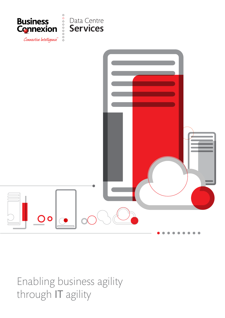



# Enabling business agility through IT agility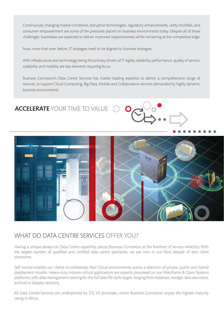Continuously changing market conditions, disruptive technologies, regulatory enhancements, utility shortfalls, and consumer empowerment are some of the pressures placed on business environments today. Despite all of these challenges, businesses are expected to deliver improved responsiveness whilst remaining at the competitive edge.

Now, more than ever before, IT strategies need to be aligned to business strategies.

With infrastructure and technology being the primary drivers of IT Agility, reliability, performance, quality of service, scalability and mobility are key elements requiring focus.

Business Connexion's Data Centre Services has market leading expertise to deliver a comprehensive range of services, to support Cloud Computing, Big Data, Mobile and Collaboration services demanded by highly dynamic business environments.

### ACCELERATE YOUR TIME TO VALUE





### WHAT DO DATA CENTRE SERVICES OFFER YOU?

Having a unique always-on Data Centre capability, places Business Connexion at the forefront of service reliability. With the largest number of qualified and certified data centre specialists, we are now in our third decade of zero client downtime.

Self-service enables our clients to orchestrate their Cloud environments across a selection of private, public and hybrid deployment models. Heavy-duty mission-critical applications are expertly processed on our Mainframe & Open Systems platforms, with data management catering for the full data life cycle stages, ranging from database, storage, data assurance, archival to disaster recovery.

All Data Centre Services are underpinned by ITIL V3 processes, where Business Connexion enjoys the highest maturity rating in Africa.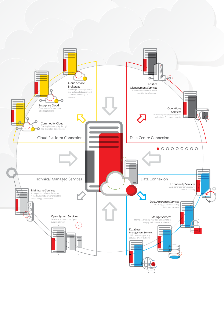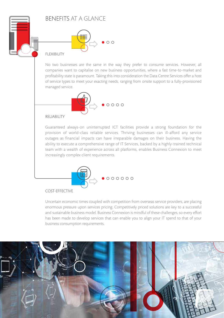### BENEFITS AT A GLANCE



No two businesses are the same in the way they prefer to consume services. However, all companies want to capitalise on new business opportunities, where a fast time-to-market and profitability state is paramount. Taking this into consideration the Data Centre Services offer a host of service types to meet your exacting needs, ranging from onsite support to a fully-provisioned managed service.



#### RELIABILITY

Guaranteed always-on uninterrupted ICT facilities provide a strong foundation for the provision of world-class reliable services. Thriving businesses can ill-afford any service outages as financial impacts can have irreparable damages on their business. Having the ability to execute a comprehensive range of IT Services, backed by a highly-trained technical team with a wealth of experience across all platforms, enables Business Connexion to meet increasingly complex client requirements.



### COST-EFFECTIVE

Uncertain economic times coupled with competition from overseas service providers, are placing enormous pressure upon services pricing. Competitively priced solutions are key to a successful and sustainable business model. Business Connexion is mindful of these challenges, so every effort has been made to develop services that can enable you to align your IT spend to that of your business consumption requirements.

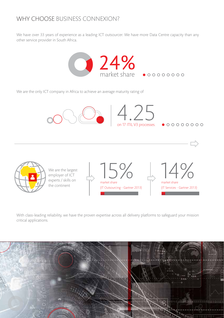### WHY CHOOSE BUSINESS CONNEXION?

We have over 33 years of experience as a leading ICT outsourcer. We have more Data Centre capacity than any other service provider in South Africa.



With class-leading reliability, we have the proven expertise across all delivery platforms to safeguard your mission critical applications.

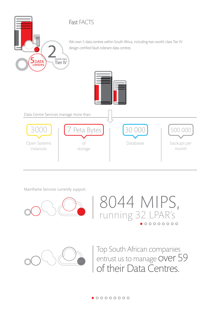Fast FACTS We own 5 data centres within South Africa, including two world-class Tier IV design certified fault-tolerant data centres. world-class<br>Tier IV **DDATA**<br>centres Data Centre Services manage more than: 3000 | 7 Peta Bytes | | | 30 000 | | | 500 000 Open Systems Databases | backups per of instances month storage

Mainframe Services currently support



8044 MIPS, running 32 LPAR's  $000000000$ 



Top South African companies entrust us to manage OVer 59 of their Data Centres.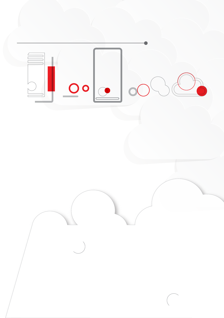